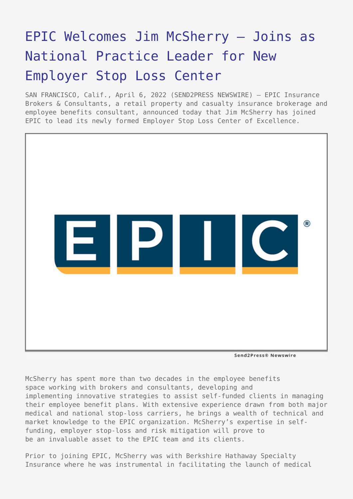# [EPIC Welcomes Jim McSherry – Joins as](https://www.send2press.com/wire/epic-welcomes-jim-mcsherry-joins-as-national-practice-leader-for-new-employer-stop-loss-center/) [National Practice Leader for New](https://www.send2press.com/wire/epic-welcomes-jim-mcsherry-joins-as-national-practice-leader-for-new-employer-stop-loss-center/) [Employer Stop Loss Center](https://www.send2press.com/wire/epic-welcomes-jim-mcsherry-joins-as-national-practice-leader-for-new-employer-stop-loss-center/)

SAN FRANCISCO, Calif., April 6, 2022 (SEND2PRESS NEWSWIRE) — EPIC Insurance Brokers & Consultants, a retail property and casualty insurance brokerage and employee benefits consultant, announced today that Jim McSherry has joined EPIC to lead its newly formed Employer Stop Loss Center of Excellence.



Send2Press® Newswire

McSherry has spent more than two decades in the employee benefits space working with brokers and consultants, developing and implementing innovative strategies to assist self-funded clients in managing their employee benefit plans. With extensive experience drawn from both major medical and national stop-loss carriers, he brings a wealth of technical and market knowledge to the EPIC organization. McSherry's expertise in selffunding, employer stop-loss and risk mitigation will prove to be an invaluable asset to the EPIC team and its clients.

Prior to joining EPIC, McSherry was with Berkshire Hathaway Specialty Insurance where he was instrumental in facilitating the launch of medical